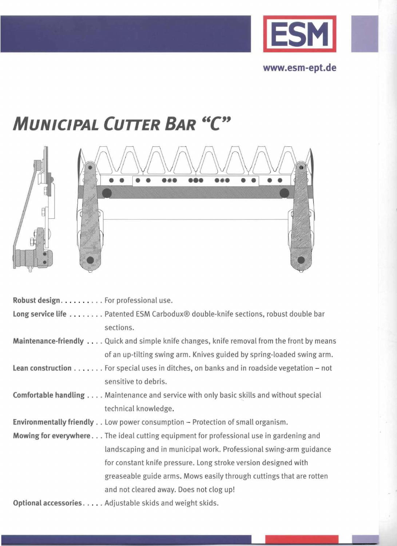

**www.esm-ept.de** 

# **MUNICIPAL CUTTER BAR "c"**